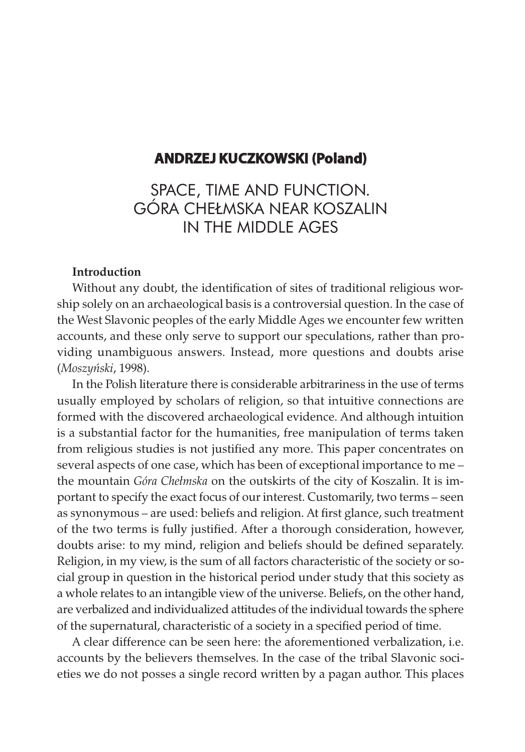## **andrzeJ kuCzkowski (poland)**

# SPACE, TIME AND FUNCTION. GÓRA CHEŁMSKA NEAR KOSZALIN IN THE MIDDLE AGES

#### Introduction

Without any doubt, the identification of sites of traditional religious worship solely on an archaeological basis is a controversial question. In the case of the West Slavonic peoples of the early Middle Ages we encounter few written accounts, and these only serve to support our speculations, rather than providing unambiguous answers. Instead, more questions and doubts arise (Moszyński, 1998).

In the Polish literature there is considerable arbitrariness in the use of terms usually employed by scholars of religion, so that intuitive connections are formed with the discovered archaeological evidence. And although intuition is a substantial factor for the humanities, free manipulation of terms taken from religious studies is not justified any more. This paper concentrates on several aspects of one case, which has been of exceptional importance to me – the mountain Góra Chełmska on the outskirts of the city of Koszalin. It is important to specify the exact focus of our interest. Customarily, two terms – seen as synonymous – are used: beliefs and religion. At first glance, such treatment of the two terms is fully justified. After a thorough consideration, however, doubts arise: to my mind, religion and beliefs should be defined separately. Religion, in my view, is the sum of all factors characteristic of the society or social group in question in the historical period under study that this society as a whole relates to an intangible view of the universe. Beliefs, on the other hand, are verbalized and individualized attitudes of the individual towards the sphere of the supernatural, characteristic of a society in a specified period of time.

A clear difference can be seen here: the aforementioned verbalization, i.e. accounts by the believers themselves. In the case of the tribal Slavonic societies we do not posses a single record written by a pagan author. This places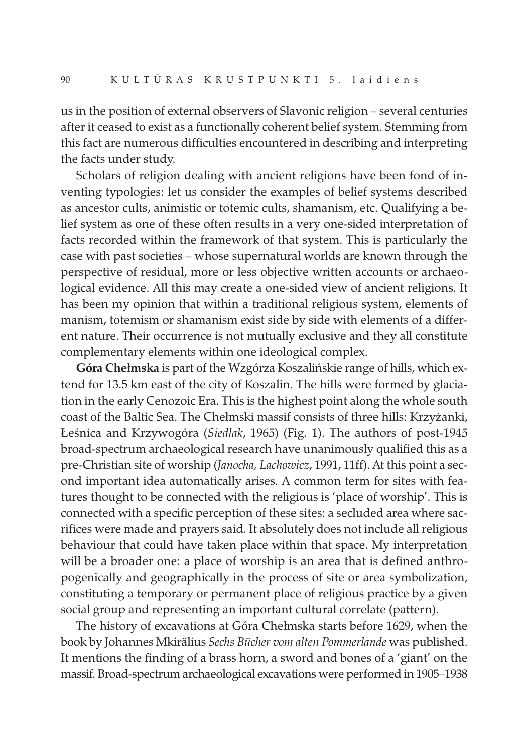us in the position of external observers of Slavonic religion – several centuries after it ceased to exist as a functionally coherent belief system. Stemming from this fact are numerous difficulties encountered in describing and interpreting the facts under study.

Scholars of religion dealing with ancient religions have been fond of inventing typologies: let us consider the examples of belief systems described as ancestor cults, animistic or totemic cults, shamanism, etc. Qualifying a belief system as one of these often results in a very one-sided interpretation of facts recorded within the framework of that system. This is particularly the case with past societies – whose supernatural worlds are known through the perspective of residual, more or less objective written accounts or archaeological evidence. All this may create a one-sided view of ancient religions. It has been my opinion that within a traditional religious system, elements of manism, totemism or shamanism exist side by side with elements of a different nature. Their occurrence is not mutually exclusive and they all constitute complementary elements within one ideological complex.

Góra Chełmska is part of the Wzgórza Koszalińskie range of hills, which extend for 13.5 km east of the city of Koszalin. The hills were formed by glaciation in the early Cenozoic Era. This is the highest point along the whole south coast of the Baltic Sea. The Chełmski massif consists of three hills: Krzyżanki, Łeśnica and Krzywogóra (Siedlak, 1965) (Fig. 1). The authors of post-1945 broad-spectrum archaeological research have unanimously qualified this as a pre-Christian site of worship (Janocha, Lachowicz, 1991, 11ff). At this point a second important idea automatically arises. A common term for sites with features thought to be connected with the religious is 'place of worship'. This is connected with a specific perception of these sites: a secluded area where sacrifices were made and prayers said. It absolutely does not include all religious behaviour that could have taken place within that space. My interpretation will be a broader one: a place of worship is an area that is defined anthropogenically and geographically in the process of site or area symbolization, constituting a temporary or permanent place of religious practice by a given social group and representing an important cultural correlate (pattern).

The history of excavations at Góra Chełmska starts before 1629, when the book by Johannes Mkirälius Sechs Bücher vom alten Pommerlande was published. It mentions the finding of a brass horn, a sword and bones of a 'giant' on the massif. Broad-spectrum archaeological excavations were performed in 1905–1938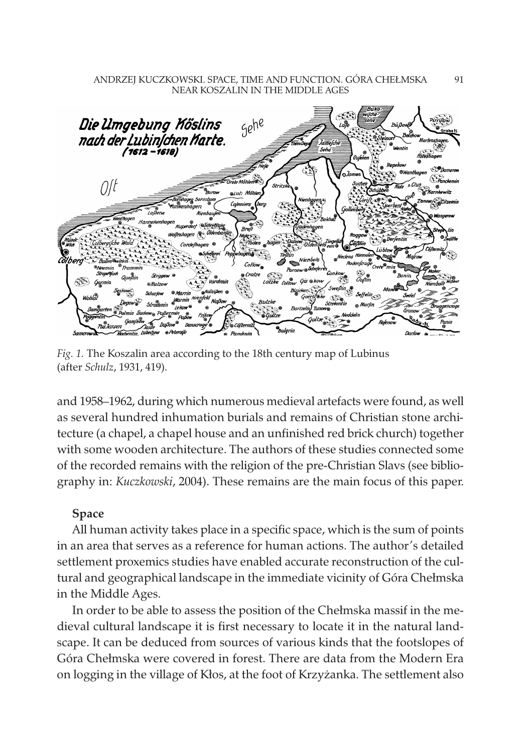#### ANDRZEJ KUCZKOWSKI. SPACE, TIME AND FUNCTION. GÓRA CHEŁMSKA NEAR KOSZALIN IN THE MIDDLE AGES



Fig. 1. The Koszalin area according to the 18th century map of Lubinus (after Schulz, 1931, 419).

and 1958–1962, during which numerous medieval artefacts were found, as well as several hundred inhumation burials and remains of Christian stone architecture (a chapel, a chapel house and an unfinished red brick church) together with some wooden architecture. The authors of these studies connected some of the recorded remains with the religion of the pre-Christian Slavs (see bibliography in: Kuczkowski, 2004). These remains are the main focus of this paper.

#### Space

All human activity takes place in a specific space, which is the sum of points in an area that serves as a reference for human actions. The author's detailed settlement proxemics studies have enabled accurate reconstruction of the cultural and geographical landscape in the immediate vicinity of Góra Chełmska in the Middle Ages.

In order to be able to assess the position of the Chełmska massif in the medieval cultural landscape it is first necessary to locate it in the natural landscape. It can be deduced from sources of various kinds that the footslopes of Góra Chełmska were covered in forest. There are data from the Modern Era on logging in the village of Kłos, at the foot of Krzyżanka. The settlement also

91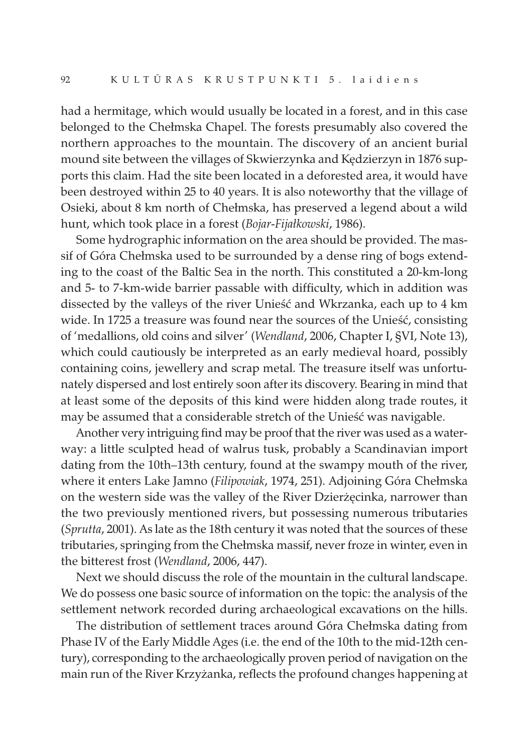had a hermitage, which would usually be located in a forest, and in this case belonged to the Chełmska Chapel. The forests presumably also covered the northern approaches to the mountain. The discovery of an ancient burial mound site between the villages of Skwierzynka and Kędzierzyn in 1876 supports this claim. Had the site been located in a deforested area, it would have been destroyed within 25 to 40 years. It is also noteworthy that the village of Osieki, about 8 km north of Chełmska, has preserved a legend about a wild hunt, which took place in a forest (Bojar-Fijałkowski, 1986).

Some hydrographic information on the area should be provided. The massif of Góra Chełmska used to be surrounded by a dense ring of bogs extending to the coast of the Baltic Sea in the north. This constituted a 20-km-long and 5- to 7-km-wide barrier passable with difficulty, which in addition was dissected by the valleys of the river Unieść and Wkrzanka, each up to 4 km wide. In 1725 a treasure was found near the sources of the Unieść, consisting of 'medallions, old coins and silver' (Wendland, 2006, Chapter I, §VI, Note 13), which could cautiously be interpreted as an early medieval hoard, possibly containing coins, jewellery and scrap metal. The treasure itself was unfortunately dispersed and lost entirely soon after its discovery. Bearing in mind that at least some of the deposits of this kind were hidden along trade routes, it may be assumed that a considerable stretch of the Unieść was navigable.

Another very intriguing find may be proof that the river was used as a waterway: a little sculpted head of walrus tusk, probably a Scandinavian import dating from the 10th–13th century, found at the swampy mouth of the river, where it enters Lake Jamno (*Filipowiak*, 1974, 251). Adjoining Góra Chełmska on the western side was the valley of the River Dzierżęcinka, narrower than the two previously mentioned rivers, but possessing numerous tributaries (Sprutta, 2001). As late as the 18th century it was noted that the sources of these tributaries, springing from the Chełmska massif, never froze in winter, even in the bitterest frost (Wendland, 2006, 447).

Next we should discuss the role of the mountain in the cultural landscape. We do possess one basic source of information on the topic: the analysis of the settlement network recorded during archaeological excavations on the hills.

The distribution of settlement traces around Góra Chełmska dating from Phase IV of the Early Middle Ages (i.e. the end of the 10th to the mid-12th century), corresponding to the archaeologically proven period of navigation on the main run of the River Krzyżanka, reflects the profound changes happening at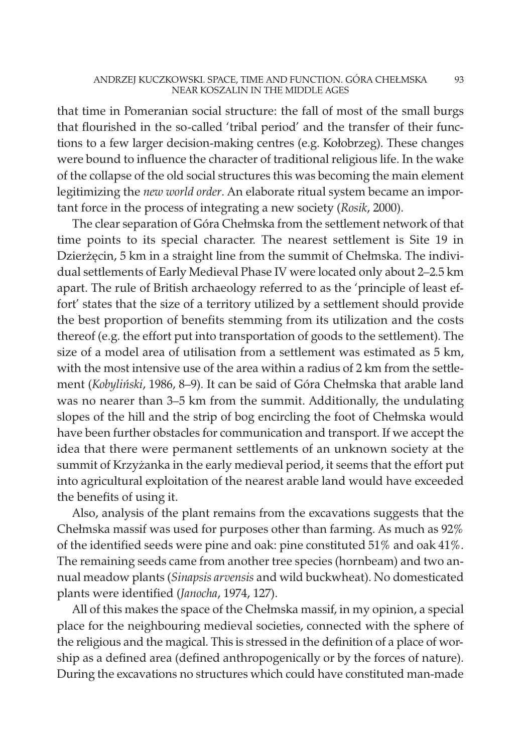that time in Pomeranian social structure: the fall of most of the small burgs that flourished in the so-called 'tribal period' and the transfer of their functions to a few larger decision-making centres (e.g. Kołobrzeg). These changes were bound to influence the character of traditional religious life. In the wake of the collapse of the old social structures this was becoming the main element legitimizing the new world order. An elaborate ritual system became an important force in the process of integrating a new society (Rosik, 2000).

The clear separation of Góra Chełmska from the settlement network of that time points to its special character. The nearest settlement is Site 19 in Dzierżęcin, 5 km in a straight line from the summit of Chełmska. The individual settlements of Early Medieval Phase IV were located only about 2–2.5 km apart. The rule of British archaeology referred to as the 'principle of least effort' states that the size of a territory utilized by a settlement should provide the best proportion of benefits stemming from its utilization and the costs thereof (e.g. the effort put into transportation of goods to the settlement). The size of a model area of utilisation from a settlement was estimated as 5 km, with the most intensive use of the area within a radius of 2 km from the settlement (Kobyliński, 1986, 8–9). It can be said of Góra Chełmska that arable land was no nearer than 3–5 km from the summit. Additionally, the undulating slopes of the hill and the strip of bog encircling the foot of Chełmska would have been further obstacles for communication and transport. If we accept the idea that there were permanent settlements of an unknown society at the summit of Krzyżanka in the early medieval period, it seems that the effort put into agricultural exploitation of the nearest arable land would have exceeded the benefits of using it.

Also, analysis of the plant remains from the excavations suggests that the Chełmska massif was used for purposes other than farming. As much as 92% of the identified seeds were pine and oak: pine constituted 51% and oak 41%. The remaining seeds came from another tree species (hornbeam) and two annual meadow plants (Sinapsis arvensis and wild buckwheat). No domesticated plants were identified (Janocha, 1974, 127).

All of this makes the space of the Chełmska massif, in my opinion, a special place for the neighbouring medieval societies, connected with the sphere of the religious and the magical. This is stressed in the definition of a place of worship as a defined area (defined anthropogenically or by the forces of nature). During the excavations no structures which could have constituted man-made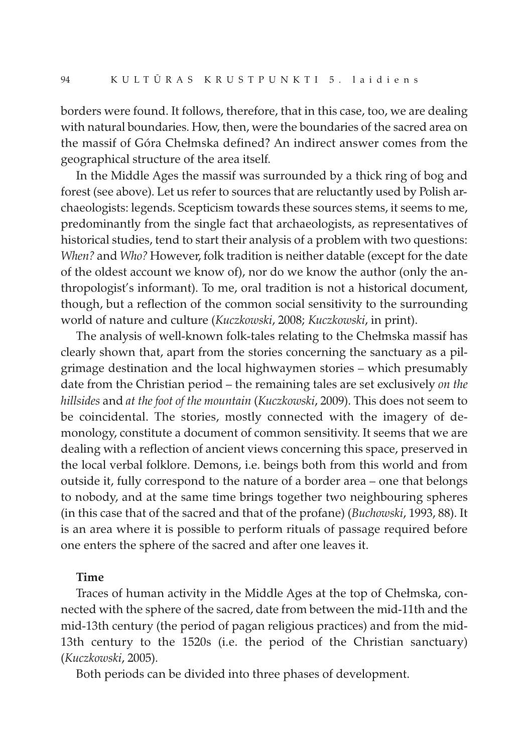borders were found. It follows, therefore, that in this case, too, we are dealing with natural boundaries. How, then, were the boundaries of the sacred area on the massif of Góra Chełmska defined? An indirect answer comes from the geographical structure of the area itself.

In the Middle Ages the massif was surrounded by a thick ring of bog and forest (see above). Let us refer to sources that are reluctantly used by Polish archaeologists: legends. Scepticism towards these sources stems, it seems to me, predominantly from the single fact that archaeologists, as representatives of historical studies, tend to start their analysis of a problem with two questions: When? and Who? However, folk tradition is neither datable (except for the date of the oldest account we know of), nor do we know the author (only the anthropologist's informant). To me, oral tradition is not a historical document, though, but a reflection of the common social sensitivity to the surrounding world of nature and culture (Kuczkowski, 2008; Kuczkowski, in print).

The analysis of well-known folk-tales relating to the Chełmska massif has clearly shown that, apart from the stories concerning the sanctuary as a pilgrimage destination and the local highwaymen stories – which presumably date from the Christian period – the remaining tales are set exclusively on the hillsides and at the foot of the mountain (Kuczkowski, 2009). This does not seem to be coincidental. The stories, mostly connected with the imagery of demonology, constitute a document of common sensitivity. It seems that we are dealing with a reflection of ancient views concerning this space, preserved in the local verbal folklore. Demons, i.e. beings both from this world and from outside it, fully correspond to the nature of a border area – one that belongs to nobody, and at the same time brings together two neighbouring spheres (in this case that of the sacred and that of the profane) (Buchowski, 1993, 88). It is an area where it is possible to perform rituals of passage required before one enters the sphere of the sacred and after one leaves it.

#### Time

Traces of human activity in the Middle Ages at the top of Chełmska, connected with the sphere of the sacred, date from between the mid-11th and the mid-13th century (the period of pagan religious practices) and from the mid-13th century to the 1520s (i.e. the period of the Christian sanctuary) (Kuczkowski, 2005).

Both periods can be divided into three phases of development.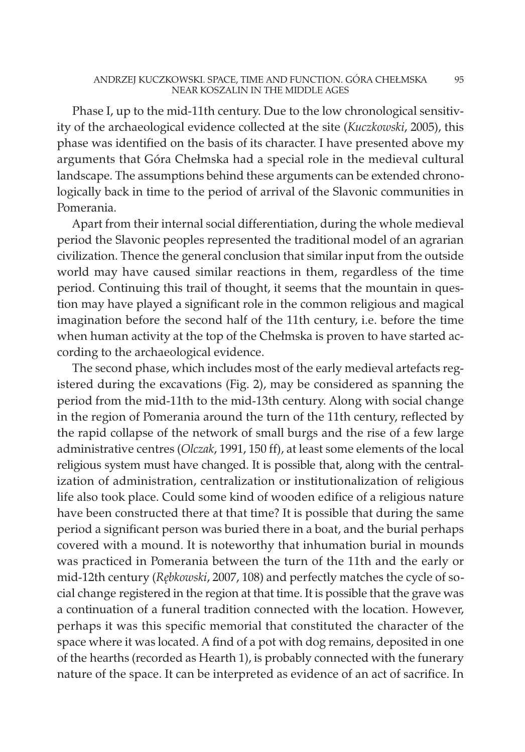Phase I, up to the mid-11th century. Due to the low chronological sensitivity of the archaeological evidence collected at the site (Kuczkowski, 2005), this phase was identified on the basis of its character. I have presented above my arguments that Góra Chełmska had a special role in the medieval cultural landscape. The assumptions behind these arguments can be extended chronologically back in time to the period of arrival of the Slavonic communities in Pomerania.

Apart from their internal social differentiation, during the whole medieval period the Slavonic peoples represented the traditional model of an agrarian civilization. Thence the general conclusion that similar input from the outside world may have caused similar reactions in them, regardless of the time period. Continuing this trail of thought, it seems that the mountain in question may have played a significant role in the common religious and magical imagination before the second half of the 11th century, i.e. before the time when human activity at the top of the Chełmska is proven to have started according to the archaeological evidence.

The second phase, which includes most of the early medieval artefacts registered during the excavations (Fig. 2), may be considered as spanning the period from the mid-11th to the mid-13th century. Along with social change in the region of Pomerania around the turn of the 11th century, reflected by the rapid collapse of the network of small burgs and the rise of a few large administrative centres (Olczak, 1991, 150 ff), at least some elements of the local religious system must have changed. It is possible that, along with the centralization of administration, centralization or institutionalization of religious life also took place. Could some kind of wooden edifice of a religious nature have been constructed there at that time? It is possible that during the same period a significant person was buried there in a boat, and the burial perhaps covered with a mound. It is noteworthy that inhumation burial in mounds was practiced in Pomerania between the turn of the 11th and the early or mid-12th century (Rębkowski, 2007, 108) and perfectly matches the cycle of social change registered in the region at that time. It is possible that the grave was a continuation of a funeral tradition connected with the location. However, perhaps it was this specific memorial that constituted the character of the space where it was located. A find of a pot with dog remains, deposited in one of the hearths (recorded as Hearth 1), is probably connected with the funerary nature of the space. It can be interpreted as evidence of an act of sacrifice. In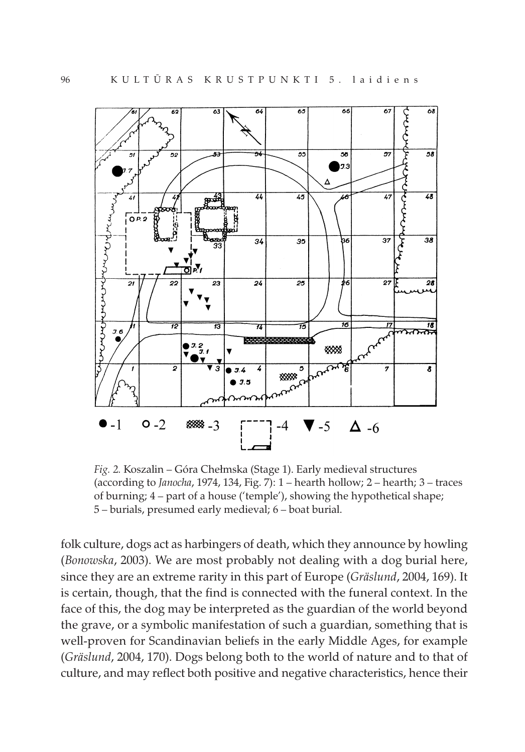

Fig. 2. Koszalin – Góra Chełmska (Stage 1). Early medieval structures (according to Janocha, 1974, 134, Fig. 7):  $1$  – hearth hollow;  $2$  – hearth;  $3$  – traces of burning; 4 – part of a house ('temple'), showing the hypothetical shape; 5 – burials, presumed early medieval; 6 – boat burial.

folk culture, dogs act as harbingers of death, which they announce by howling (Bonowska, 2003). We are most probably not dealing with a dog burial here, since they are an extreme rarity in this part of Europe (Gräslund, 2004, 169). It is certain, though, that the find is connected with the funeral context. In the face of this, the dog may be interpreted as the guardian of the world beyond the grave, or a symbolic manifestation of such a guardian, something that is well-proven for Scandinavian beliefs in the early Middle Ages, for example (Gräslund, 2004, 170). Dogs belong both to the world of nature and to that of culture, and may reflect both positive and negative characteristics, hence their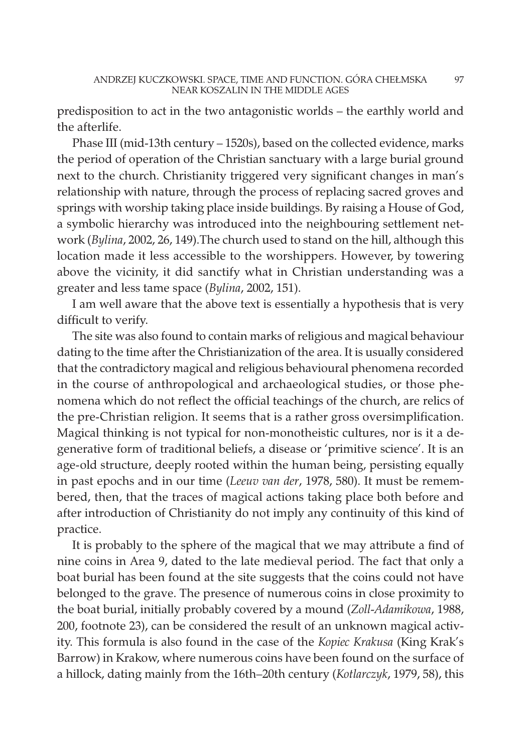predisposition to act in the two antagonistic worlds – the earthly world and the afterlife.

Phase III (mid-13th century – 1520s), based on the collected evidence, marks the period of operation of the Christian sanctuary with a large burial ground next to the church. Christianity triggered very significant changes in man's relationship with nature, through the process of replacing sacred groves and springs with worship taking place inside buildings. By raising a House of God, a symbolic hierarchy was introduced into the neighbouring settlement network (Bylina, 2002, 26, 149).The church used to stand on the hill, although this location made it less accessible to the worshippers. However, by towering above the vicinity, it did sanctify what in Christian understanding was a greater and less tame space (Bylina, 2002, 151).

I am well aware that the above text is essentially a hypothesis that is very difficult to verify.

The site was also found to contain marks of religious and magical behaviour dating to the time after the Christianization of the area. It is usually considered that the contradictory magical and religious behavioural phenomena recorded in the course of anthropological and archaeological studies, or those phenomena which do not reflect the official teachings of the church, are relics of the pre-Christian religion. It seems that is a rather gross oversimplification. Magical thinking is not typical for non-monotheistic cultures, nor is it a degenerative form of traditional beliefs, a disease or 'primitive science'. It is an age-old structure, deeply rooted within the human being, persisting equally in past epochs and in our time (Leeuv van der, 1978, 580). It must be remembered, then, that the traces of magical actions taking place both before and after introduction of Christianity do not imply any continuity of this kind of practice.

It is probably to the sphere of the magical that we may attribute a find of nine coins in Area 9, dated to the late medieval period. The fact that only a boat burial has been found at the site suggests that the coins could not have belonged to the grave. The presence of numerous coins in close proximity to the boat burial, initially probably covered by a mound (Zoll-Adamikowa, 1988, 200, footnote 23), can be considered the result of an unknown magical activity. This formula is also found in the case of the Kopiec Krakusa (King Krak's Barrow) in Krakow, where numerous coins have been found on the surface of a hillock, dating mainly from the 16th–20th century (Kotlarczyk, 1979, 58), this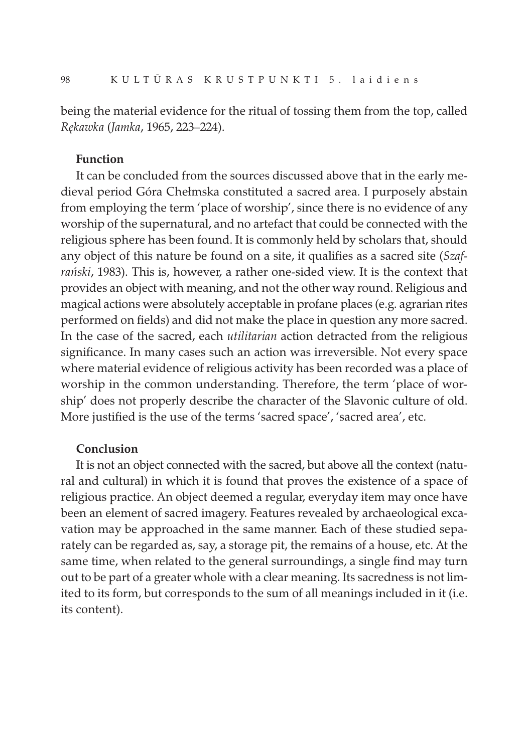being the material evidence for the ritual of tossing them from the top, called Rękawka (Jamka, 1965, 223–224).

#### Function

It can be concluded from the sources discussed above that in the early medieval period Góra Chełmska constituted a sacred area. I purposely abstain from employing the term 'place of worship', since there is no evidence of any worship of the supernatural, and no artefact that could be connected with the religious sphere has been found. It is commonly held by scholars that, should any object of this nature be found on a site, it qualifies as a sacred site (Szafrański, 1983). This is, however, a rather one-sided view. It is the context that provides an object with meaning, and not the other way round. Religious and magical actions were absolutely acceptable in profane places (e.g. agrarian rites performed on fields) and did not make the place in question any more sacred. In the case of the sacred, each *utilitarian* action detracted from the religious significance. In many cases such an action was irreversible. Not every space where material evidence of religious activity has been recorded was a place of worship in the common understanding. Therefore, the term 'place of worship' does not properly describe the character of the Slavonic culture of old. More justified is the use of the terms 'sacred space', 'sacred area', etc.

### Conclusion

It is not an object connected with the sacred, but above all the context (natural and cultural) in which it is found that proves the existence of a space of religious practice. An object deemed a regular, everyday item may once have been an element of sacred imagery. Features revealed by archaeological excavation may be approached in the same manner. Each of these studied separately can be regarded as, say, a storage pit, the remains of a house, etc. At the same time, when related to the general surroundings, a single find may turn out to be part of a greater whole with a clear meaning. Its sacredness is not limited to its form, but corresponds to the sum of all meanings included in it (i.e. its content).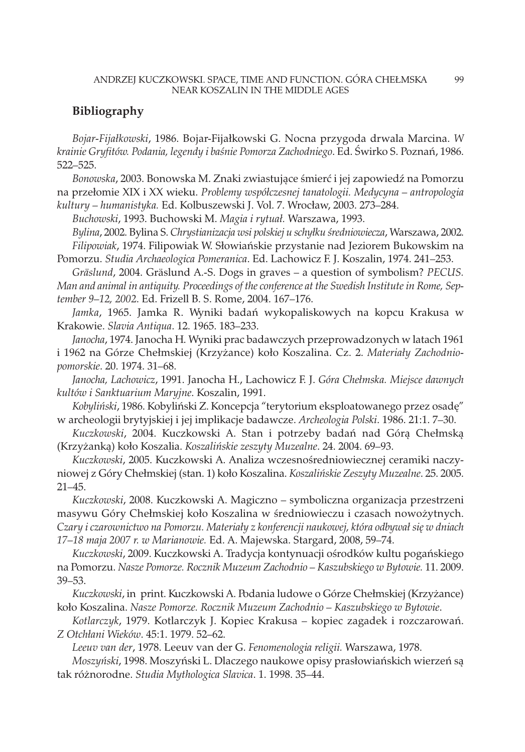#### Bibliography

Bojar-Fijałkowski, 1986. Bojar-Fijałkowski G. Nocna przygoda drwala Marcina. W krainie Gryfitów. Podania, legendy i baśnie Pomorza Zachodniego. Ed. Świrko S. Poznań, 1986. 522–525.

Bonowska, 2003. Bonowska M. Znaki zwiastujące śmierć i jej zapowiedź na Pomorzu na przełomie XIX i XX wieku. Problemy współczesnej tanatologii. Medycyna – antropologia kultury – humanistyka. Ed. Kolbuszewski J. Vol. 7. Wrocław, 2003. 273–284.

Buchowski, 1993. Buchowski M. Magia i rytuał. Warszawa, 1993.

Bylina, 2002. Bylina S. Chrystianizacja wsi polskiej u schyłku średniowiecza, Warszawa, 2002. Filipowiak, 1974. Filipowiak W. Słowiańskie przystanie nad Jeziorem Bukowskim na Pomorzu. Studia Archaeologica Pomeranica. Ed. Lachowicz F. J. Koszalin, 1974. 241–253.

Gräslund, 2004. Gräslund A.-S. Dogs in graves – a question of symbolism? PECUS. Man and animal in antiquity. Proceedings of the conference at the Swedish Institute in Rome, September 9–12, 2002. Ed. Frizell B. S. Rome, 2004. 167–176.

Jamka, 1965. Jamka R. Wyniki badań wykopaliskowych na kopcu Krakusa w Krakowie. Slavia Antiqua. 12. 1965. 183–233.

Janocha, 1974. Janocha H. Wyniki prac badawczych przeprowadzonych w latach 1961 i 1962 na Górze Chełmskiej (Krzyżance) koło Koszalina. Cz. 2. Materiały Zachodniopomorskie. 20. 1974. 31–68.

Janocha, Lachowicz, 1991. Janocha H., Lachowicz F. J. Góra Chełmska. Miejsce dawnych kultów i Sanktuarium Maryjne. Koszalin, 1991.

Kobyliński, 1986. Kobyliński Z. Koncepcja "terytorium eksploatowanego przez osadę" w archeologii brytyjskiej i jej implikacje badawcze. Archeologia Polski. 1986. 21:1. 7–30.

Kuczkowski, 2004. Kuczkowski A. Stan i potrzeby badań nad Górą Chełmską (Krzyżanką) koło Koszalia. Koszalińskie zeszyty Muzealne. 24. 2004. 69–93.

Kuczkowski, 2005. Kuczkowski A. Analiza wczesnośredniowiecznej ceramiki naczyniowej z Góry Chełmskiej (stan. 1) koło Koszalina. Koszalińskie Zeszyty Muzealne. 25. 2005. 21–45.

Kuczkowski, 2008. Kuczkowski A. Magiczno – symboliczna organizacja przestrzeni masywu Góry Chełmskiej koło Koszalina w średniowieczu i czasach nowożytnych. Czary i czarownictwo na Pomorzu. Materiały z konferencji naukowej, która odbywał się w dniach 17–18 maja 2007 r. w Marianowie. Ed. A. Majewska. Stargard, 2008, 59–74.

Kuczkowski, 2009. Kuczkowski A. Tradycja kontynuacji ośrodków kultu pogańskiego na Pomorzu. Nasze Pomorze. Rocznik Muzeum Zachodnio – Kaszubskiego w Bytowie. 11. 2009. 39–53.

Kuczkowski, in print. Kuczkowski A. Podania ludowe o Górze Chełmskiej (Krzyżance) koło Koszalina. Nasze Pomorze. Rocznik Muzeum Zachodnio – Kaszubskiego w Bytowie.

Kotlarczyk, 1979. Kotlarczyk J. Kopiec Krakusa – kopiec zagadek i rozczarowań. Z Otchłani Wieków. 45:1. 1979. 52–62.

Leeuv van der, 1978. Leeuv van der G. Fenomenologia religii. Warszawa, 1978.

Moszyński, 1998. Moszyński L. Dlaczego naukowe opisy prasłowiańskich wierzeń są tak różnorodne. Studia Mythologica Slavica. 1. 1998. 35–44.